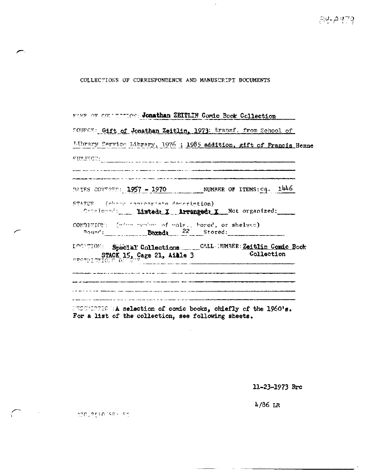## COLLECTIONS OF CORRESPONDENCE AND MANUSCRIPT DOCUMENTS

MAME OF COUNTINUON: Jonathan ZEITLIN Comic Book Collection SOURCE: Gift of Jonathan Zeitlin, 1973; transf. from School of Library Service Library, 1976 ; 1985 addition, gift of Francis Henne SURJECT: COMMUNICATION CONTRACT COMMUNICATION COMMUNICATION .<br>Mai Alba con la proposta compressa del contro de la compresió de la porta manuscrita el cristiano de la contro .<br>Matamatan di Kabupatèn di Kabupatèn Kabupatèn Kabupatèn Kabupatèn Kabupatèn Kabupatèn Kabupatèn Kabupatèn Kabu DATES COVERED: 1957 - 1970 NUMBER OF ITEMS: eq. 1446 STATUS (chook conventiate deceriation) Cotaloged: Misted: X Arranged: X Not organized: CONDITION: (give suplem of vols., bored, or shelves) Bound: Boxed: 22 Stored: LOCATION: Special Collections \_\_\_\_\_\_CALLARMBER: Zeitlin Comic Book STACK 15, Cage 21, Aille 3 Collection .<br>Stagen andersommerhanger i den die Greenwerker Verbaut in die der Tertifierte der der Terminaliste in die der .<br>In the color of the theory and the color than the color of the color of the color of the color of the color th .<br>A construction of the construction of the construction of the construction of the construction of the construction

UNCONDENSO HA selection of comic books, chiefly of the 1960's. For a list of the collection, see following sheets.

11-23-1973 Brc

 $4/86$  LR

**SOC 2010/SB** 50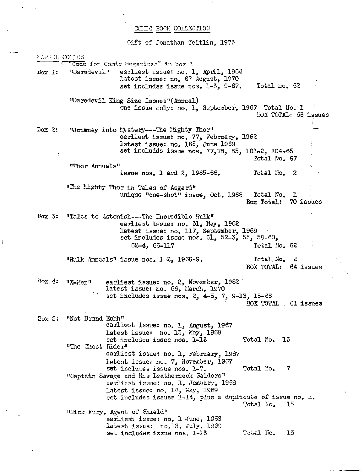## COMIC BOOK COLLECTION

Gift of Jonathan Zeitlin, 1973

MANGL COMICS  $"$ Côde for Comic Magazines" in box 1 Box 1: "Daredevil" earliest issue: no. 1, April, 1984 latest issue: no. 67 August, 1970 set includes issue nos. 1-3, 9-67. Total no. 62 "Daredevil King Size Issues"(Annual) one issue only: no. 1, September, 1967 Total No. 1 BOX TOTAL: 63 issues Box 2: "Journey into Mystery---The Mighty Thor" earliest issue: no. 77, February, 1962 latest issue: no. 165, June 1969 \ set includes issue nos. 77,78, 85, 101-2, 104-65 Total No. 67 "Thor Annuals" issue nos. 1 and  $2$ , 1965-66. Total No. 2 "The Mighty Thor in Tales of Asgard" : unique "one-shot" issue, Oct. 1968 Total No. 1 Box Total: 70 issues Box 3: "Tales to Astonish---The Incredible Hulk" earliest issue: no. 31, May, 1962 latest issue: no. 117, September, 1969 set includes issue nos.  $3\overline{1}$ ,  $52-3$ ,  $55$ ,  $58-60$ , 62-4, 66-117 Total No. 62 "Hulk Annuals" issue nos. 1-2, 1968-9. Total, No. 2 BOX TOTAL: 64 issues Box 4:  $\frac{n}{2}$ -Men" earliest issue: no. 2, November, 1962 latest issue: no. 66, March, 1970 set includes issue nos. 2, 4-5, 7, 9.-13, 15-66 BOX TOTAL 61 issues Box 5: "Not Brand Echh" earliest issue: no. 1, August, 1967 latest issue: no. 13, Kay, 1969 set includes issue nos. 1-13 Total No. 13 "The Ghost Rider" earliest issue: no. 1, February, 1967 latest issue: no. 7, November, 1967 set includes issue nos. 1-7. Total No. 7 "Captain Savage and His Leatherneck Raiders" earliest issue: no. 1, January, 19S3 latest issue: no. 14, Hay, 1969 set includes issues 1-14, plus a duplicate of issue no. 1. Total No. 15 "Nick Fury, Agent of Shield" earliest issue: no. 1 June, 1963 latest issue: no.13, July, 1989 set includes issue nos. 1-13 Total No. 13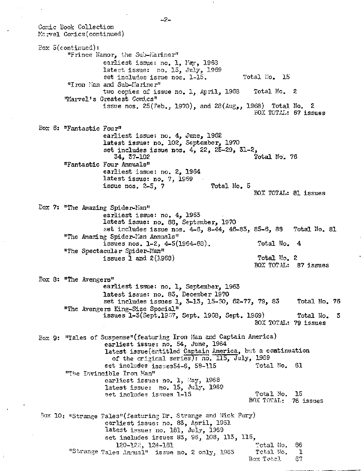Conic Book Collection Karvel Cordcs (continued) Box  $5$ (continued): "Frince Namor, the Sub-Mariner" earliest issue: no. 1, Fay, 1968 latest issue: no. 15, July, 1969 set includes issue nos. 1-15. Total No. 15 "Iron Man and Sub-Mariner" two copies of issue no. 1, April, 1963 Total No. 2 "Marvel's Greatest Comics" issue nos.  $25$ (Feb., 1970), and  $23(Au\mathcal{g}_2, 1968)$  Total No. 2 BOX TOTAL: 67 issues Box 6: "Fantastic Four" earliest issue: no. 4, June, 1962 latest issue: no. 102, September, 1970 set includes issue nos. 4, 22, 25-29, 31-2, Total No. 76 "Fantastic Four Annuals" earliest issue: no. 2, 1964 latest issue: no. 7, 1969 issue nos. 2-5, 7 Total No. 5 BOX TOTAL: 81 issues Box 7: "The Amazing Spider-Man" earliest issue: no. 4, 1963 latest issue: no. 88, September, 1970 set includes issue nos. 4-6, 8-44, 46-83, 85-6, 88 Total No. 81 "The Amazing Spider-Kan Annuals" issues nos. 1-2, 4-5(1964-63). Total No. 4 "The Spectacular Spider-Kan" issues  $\bar{1}$  and  $2(1968)$  Total No. 2 BOX TOTAL: 87 issues Box 8: "The Avengers" earliest issue: no. 1, September, 1963 latest issue: no. 83, December 1970 set includes issues 1, 3-13, 15-SO, 62-77, 79, 83 Total No. 76 "The Avengers King-Size Special" issues l-3(Sept,19o7, Sept. 1968, Sept. 1969) Total No. 3 BOX TOTAL: 79 issues Box 9: "Tales of Suspense"(featuring Iron Man and Captain America) earliest issue: no. 54, June, 1964 latest issue(entitled Captain America, but a continuation of the original series): no, 115, July, 1959 set includes issues54-6, 58-115 Total No. 61 "The Invincible Iron Man" earliest issue: no. l, May, 1968 latest issue: no. 15, July, 1969 set includes issues 1-15 Total No. 15 BOX TOTAL: 76 issues Box 10: "Strange Tales"(featuring Dr. Strange and Nick Fury) earliest issue: no. 83, April, 1961 latest issue: no. 181, July, 1969 set includes issues 83, 96, 103, 113, 115, 120-122, 124-131 Total No. 66 "Strange Tales Annual" issue no. 2 only, 1965 1 Total No. 1 Box Total 67

**- 2 -**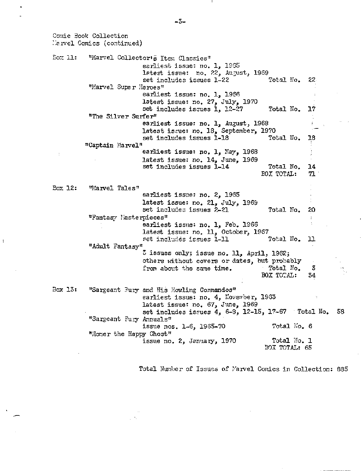Cornic Book Collection Marvel Comics (continued) Sox 11: "Marvel Collector's Item Classics" earliest issue: no. 1, 1965 latest issue: no. 22, August, 1989 set includes issues 1-22 Total No. 22 "Marvel Super Heroes" earliest issue: no. 1, 1966 latest issue: no. 27, July, 1970 set includes issues 1, 12-27 Total No. 17 "The Silver Surfer" earliest issue: no. 1, August, 1968 latest issue: no. 18, September, 1970<br>set includes issues 1-18 Total No. 18 set includes issues 1-18 Total No. "Captain Marvel" earliest issue: no. 1, May, 1968 latest issue: no. 14, June, 1969 set includes issues 1-14 Total No. 14 EOX TOTAL: 71 Box 12: "Marvel Tales" earliest issue: no. 2, 19S5 latest issue: no. 21, July, 1969 set includes issues 2-21 Total No. 20 "Fantasy Masterpieces" earliest issue: no. 1, Feb. 1966 latest issue: no. 11, October, 1967<br>set includes issues 1-11 Total No. set includes issues 1-11 Total No. 11 "Adult Fantasy"  $z$  issues only; issue no. ll, April, 1962; others without covers or dates, but probably<br>from about the same time. Total Mo. from about the same time. Total No. 5<br>BOX TOTAL: 54 BOX TOTAL: Box 13: "Sargeant Fury and His Howling Commandos" earliest issue: no. 4, November, 1S83 latest issue: no. 67, June, 1969 set includes issues 4, 6-8, 12-15, 17-67 Total No. 58 "Sargeant Fury Annuals" issue nos. 1-6, 1965-70 Total l''o. 6 "Homer the Happy Ghost" issue no. 2, January,  $1970$  Total No. 1 BOX TOTAL: 65

Total Number of Issues of Marvel Comics in Collection: 835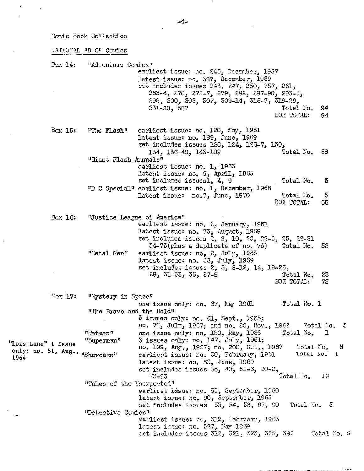Conic Book Collection

i?ATI0"AL "D C" Comics

Box 14: "Adventure Comics" earliest issue: no. 243, December, 1957 latest issue: no. 537, December, 1959 set includes issues 243, 247, 250, 257, 261, 265-4, 270, 275-7, 279, 282, 237-90, 293-5, 298, 300, 303, 507, 309-14, 315-7, 319-29, 331-30, 387 Total No. 94 BOX TOTAL: Box 15: "The Flash" earliest issue: no. 120, May, 1961 latest issue: no. 189, June, 1969 set includes issues 120, 124, 126-7, 130, 134, 136-40, 143-189 Total No. 58 "Giant Flash Annuals" earliest issue: no. 1, 1963 latest issue: no. 9, April, 1965 set includes issuesl, 4, 9 Total No. 3 "D C Special" earliest issue: no. 1, December, 1968 latest issue: no.7, June, 1970 Total No. 5 BOX TOTAL: 66 Box 16: "Justice League of America" earliest issue: no. 2, January, 1961 latest issue: no. 73, August, 1989 set includes issues  $2, 8, 10, 20, 22-3, 25, 23-31$ 34-73(plus a duplicate of no. 73) Total Mo. 52 "I'etal Ken" earliest issue: no, 2, July, 1963 latest issue: no. 58, July, 1969 set includes issues 2, 5, 8-12, 14, 19-26. 28, 31-33, 35, 37-3 Total No. 23 BOX TOTAL: 75 Box 17: "Wystery in Space" one issue only:  $ro. 67$ , May 1961 Total No. 1 "The Brave and the Bold" 3 issues only: no. 61, Sept., 1965 ^ no. 72, July, 1967; and no. 80, Nov., 1963 - Wotal No. 3<br>one issue only: no. 180, May, 1966 - Total No. 1 "Batman" one issue only: no. 180, May, 1966<br>"Superman" 3 issues only: no. 147, July, 1961; "Lois Lane" 1 issue "Superman" 3 issues only: no. 147, July, 1961;<br>only: no. 51, Aug., nshowcase" earliest issue: no. 30, February, 1 no. 199, Aug., 1967; no. 200, Oct., 1967 - Total No. 3 only: no. 51, Aug., mShowcase" earliest issue: no. 30, February, 1961 Total No. 1 latest issue: no. 83, June, 1969 set includes issues 5o, 40, 55-6, 60-2, 73-35 Total No. 19 "Tales of the Unexpected" earliest issue: no. 53, September, 1960 latest issue: no. 90, September, 1965 set includes issues  $55$ ,  $54$ ,  $58$ ,  $67$ ,  $90$  Total Ko. 5 \_ "Detective Comics" earliest issue: no, 312, February, 1965 latest insue: no. 387, May 1969 set includes issues 312, 321, 323, 325, 337 Total No. 5